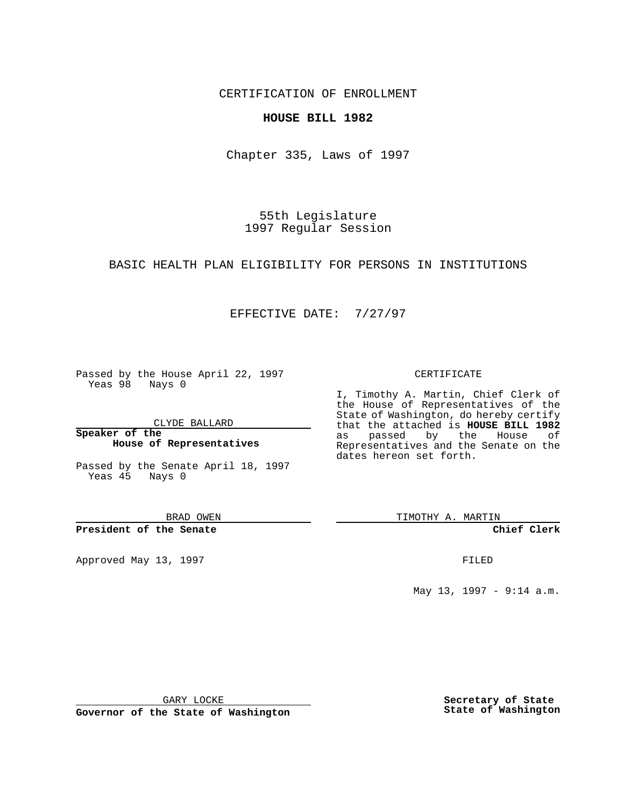CERTIFICATION OF ENROLLMENT

## **HOUSE BILL 1982**

Chapter 335, Laws of 1997

55th Legislature 1997 Regular Session

## BASIC HEALTH PLAN ELIGIBILITY FOR PERSONS IN INSTITUTIONS

## EFFECTIVE DATE: 7/27/97

Passed by the House April 22, 1997 Yeas 98 Nays 0

CLYDE BALLARD

**Speaker of the House of Representatives**

Passed by the Senate April 18, 1997 Yeas 45 Nays 0

BRAD OWEN

**President of the Senate**

Approved May 13, 1997 **FILED** 

CERTIFICATE

I, Timothy A. Martin, Chief Clerk of the House of Representatives of the State of Washington, do hereby certify that the attached is **HOUSE BILL 1982** as passed by the House of Representatives and the Senate on the dates hereon set forth.

TIMOTHY A. MARTIN

**Chief Clerk**

May 13, 1997 - 9:14 a.m.

GARY LOCKE

**Governor of the State of Washington**

**Secretary of State State of Washington**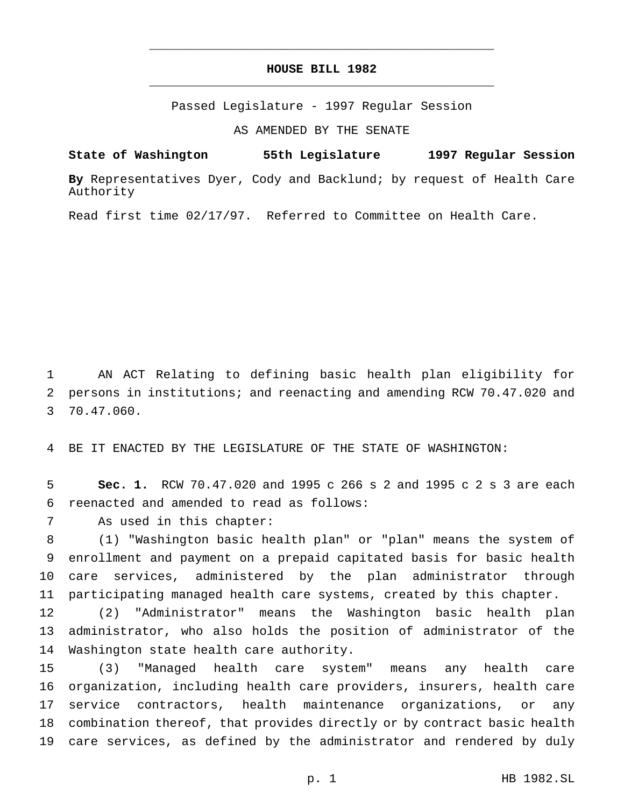## **HOUSE BILL 1982** \_\_\_\_\_\_\_\_\_\_\_\_\_\_\_\_\_\_\_\_\_\_\_\_\_\_\_\_\_\_\_\_\_\_\_\_\_\_\_\_\_\_\_\_\_\_\_

\_\_\_\_\_\_\_\_\_\_\_\_\_\_\_\_\_\_\_\_\_\_\_\_\_\_\_\_\_\_\_\_\_\_\_\_\_\_\_\_\_\_\_\_\_\_\_

Passed Legislature - 1997 Regular Session

AS AMENDED BY THE SENATE

**State of Washington 55th Legislature 1997 Regular Session**

**By** Representatives Dyer, Cody and Backlund; by request of Health Care Authority

Read first time 02/17/97. Referred to Committee on Health Care.

 AN ACT Relating to defining basic health plan eligibility for persons in institutions; and reenacting and amending RCW 70.47.020 and 70.47.060.

BE IT ENACTED BY THE LEGISLATURE OF THE STATE OF WASHINGTON:

 **Sec. 1.** RCW 70.47.020 and 1995 c 266 s 2 and 1995 c 2 s 3 are each reenacted and amended to read as follows:

As used in this chapter:

 (1) "Washington basic health plan" or "plan" means the system of enrollment and payment on a prepaid capitated basis for basic health care services, administered by the plan administrator through participating managed health care systems, created by this chapter.

 (2) "Administrator" means the Washington basic health plan administrator, who also holds the position of administrator of the Washington state health care authority.

 (3) "Managed health care system" means any health care organization, including health care providers, insurers, health care service contractors, health maintenance organizations, or any combination thereof, that provides directly or by contract basic health care services, as defined by the administrator and rendered by duly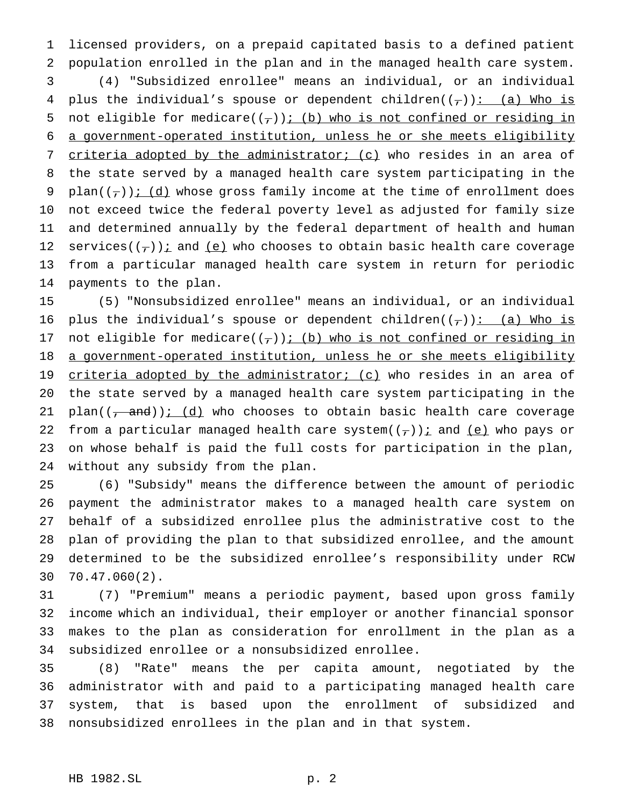licensed providers, on a prepaid capitated basis to a defined patient population enrolled in the plan and in the managed health care system. (4) "Subsidized enrollee" means an individual, or an individual 4 plus the individual's spouse or dependent children( $(\tau)$ ): (a) Who is 5 not eligible for medicare( $(\tau)$ ); (b) who is not confined or residing in a government-operated institution, unless he or she meets eligibility 7 criteria adopted by the administrator; (c) who resides in an area of the state served by a managed health care system participating in the 9 plan( $(\tau)$ ); (d) whose gross family income at the time of enrollment does not exceed twice the federal poverty level as adjusted for family size and determined annually by the federal department of health and human 12 services( $(\tau)$ ) *i* and <u>(e)</u> who chooses to obtain basic health care coverage from a particular managed health care system in return for periodic payments to the plan.

 (5) "Nonsubsidized enrollee" means an individual, or an individual 16 plus the individual's spouse or dependent children( $(\tau)$ ): (a) Who is 17 not eligible for medicare( $(\tau)$ ); (b) who is not confined or residing in 18 a government-operated institution, unless he or she meets eligibility 19 criteria adopted by the administrator; (c) who resides in an area of the state served by a managed health care system participating in the 21 plan( $(-$ and)); (d) who chooses to obtain basic health care coverage 22 from a particular managed health care system $((\tau))$  i and  $(e)$  who pays or on whose behalf is paid the full costs for participation in the plan, without any subsidy from the plan.

 (6) "Subsidy" means the difference between the amount of periodic payment the administrator makes to a managed health care system on behalf of a subsidized enrollee plus the administrative cost to the plan of providing the plan to that subsidized enrollee, and the amount determined to be the subsidized enrollee's responsibility under RCW 70.47.060(2).

 (7) "Premium" means a periodic payment, based upon gross family income which an individual, their employer or another financial sponsor makes to the plan as consideration for enrollment in the plan as a subsidized enrollee or a nonsubsidized enrollee.

 (8) "Rate" means the per capita amount, negotiated by the administrator with and paid to a participating managed health care system, that is based upon the enrollment of subsidized and nonsubsidized enrollees in the plan and in that system.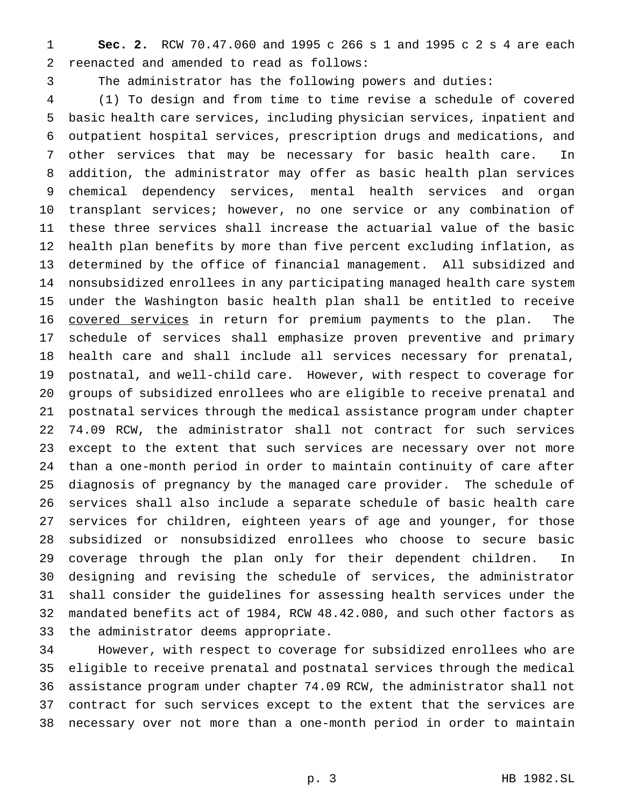**Sec. 2.** RCW 70.47.060 and 1995 c 266 s 1 and 1995 c 2 s 4 are each reenacted and amended to read as follows:

The administrator has the following powers and duties:

 (1) To design and from time to time revise a schedule of covered basic health care services, including physician services, inpatient and outpatient hospital services, prescription drugs and medications, and other services that may be necessary for basic health care. In addition, the administrator may offer as basic health plan services chemical dependency services, mental health services and organ transplant services; however, no one service or any combination of these three services shall increase the actuarial value of the basic health plan benefits by more than five percent excluding inflation, as determined by the office of financial management. All subsidized and nonsubsidized enrollees in any participating managed health care system under the Washington basic health plan shall be entitled to receive 16 covered services in return for premium payments to the plan. The schedule of services shall emphasize proven preventive and primary health care and shall include all services necessary for prenatal, postnatal, and well-child care. However, with respect to coverage for groups of subsidized enrollees who are eligible to receive prenatal and postnatal services through the medical assistance program under chapter 74.09 RCW, the administrator shall not contract for such services except to the extent that such services are necessary over not more than a one-month period in order to maintain continuity of care after diagnosis of pregnancy by the managed care provider. The schedule of services shall also include a separate schedule of basic health care services for children, eighteen years of age and younger, for those subsidized or nonsubsidized enrollees who choose to secure basic coverage through the plan only for their dependent children. In designing and revising the schedule of services, the administrator shall consider the guidelines for assessing health services under the mandated benefits act of 1984, RCW 48.42.080, and such other factors as the administrator deems appropriate.

 However, with respect to coverage for subsidized enrollees who are eligible to receive prenatal and postnatal services through the medical assistance program under chapter 74.09 RCW, the administrator shall not contract for such services except to the extent that the services are necessary over not more than a one-month period in order to maintain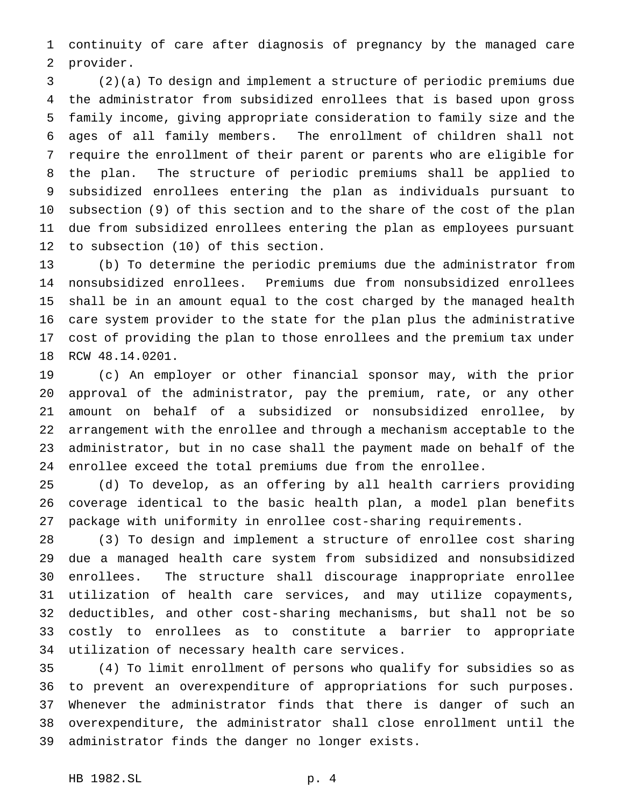continuity of care after diagnosis of pregnancy by the managed care provider.

 (2)(a) To design and implement a structure of periodic premiums due the administrator from subsidized enrollees that is based upon gross family income, giving appropriate consideration to family size and the ages of all family members. The enrollment of children shall not require the enrollment of their parent or parents who are eligible for the plan. The structure of periodic premiums shall be applied to subsidized enrollees entering the plan as individuals pursuant to subsection (9) of this section and to the share of the cost of the plan due from subsidized enrollees entering the plan as employees pursuant to subsection (10) of this section.

 (b) To determine the periodic premiums due the administrator from nonsubsidized enrollees. Premiums due from nonsubsidized enrollees shall be in an amount equal to the cost charged by the managed health care system provider to the state for the plan plus the administrative cost of providing the plan to those enrollees and the premium tax under RCW 48.14.0201.

 (c) An employer or other financial sponsor may, with the prior approval of the administrator, pay the premium, rate, or any other amount on behalf of a subsidized or nonsubsidized enrollee, by arrangement with the enrollee and through a mechanism acceptable to the administrator, but in no case shall the payment made on behalf of the enrollee exceed the total premiums due from the enrollee.

 (d) To develop, as an offering by all health carriers providing coverage identical to the basic health plan, a model plan benefits package with uniformity in enrollee cost-sharing requirements.

 (3) To design and implement a structure of enrollee cost sharing due a managed health care system from subsidized and nonsubsidized enrollees. The structure shall discourage inappropriate enrollee utilization of health care services, and may utilize copayments, deductibles, and other cost-sharing mechanisms, but shall not be so costly to enrollees as to constitute a barrier to appropriate utilization of necessary health care services.

 (4) To limit enrollment of persons who qualify for subsidies so as to prevent an overexpenditure of appropriations for such purposes. Whenever the administrator finds that there is danger of such an overexpenditure, the administrator shall close enrollment until the administrator finds the danger no longer exists.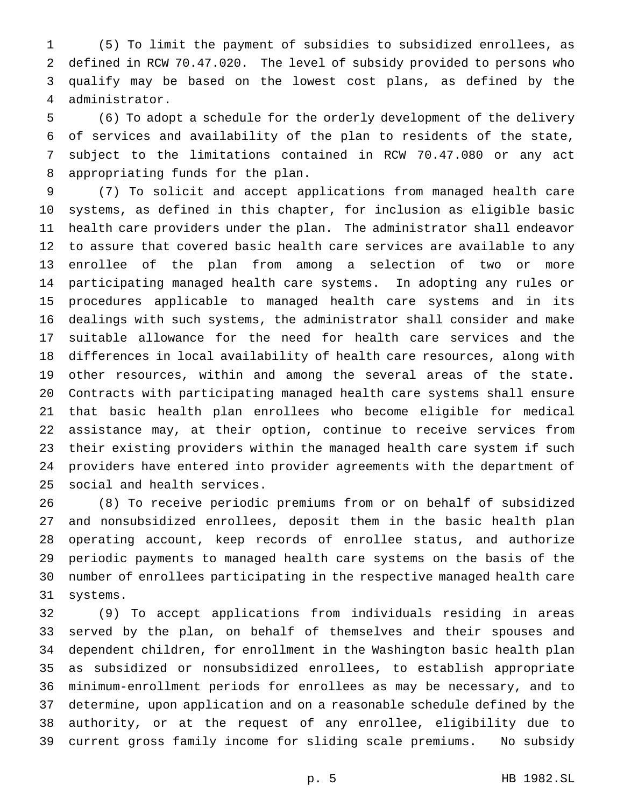(5) To limit the payment of subsidies to subsidized enrollees, as defined in RCW 70.47.020. The level of subsidy provided to persons who qualify may be based on the lowest cost plans, as defined by the administrator.

 (6) To adopt a schedule for the orderly development of the delivery of services and availability of the plan to residents of the state, subject to the limitations contained in RCW 70.47.080 or any act appropriating funds for the plan.

 (7) To solicit and accept applications from managed health care systems, as defined in this chapter, for inclusion as eligible basic health care providers under the plan. The administrator shall endeavor to assure that covered basic health care services are available to any enrollee of the plan from among a selection of two or more participating managed health care systems. In adopting any rules or procedures applicable to managed health care systems and in its dealings with such systems, the administrator shall consider and make suitable allowance for the need for health care services and the differences in local availability of health care resources, along with other resources, within and among the several areas of the state. Contracts with participating managed health care systems shall ensure that basic health plan enrollees who become eligible for medical assistance may, at their option, continue to receive services from their existing providers within the managed health care system if such providers have entered into provider agreements with the department of social and health services.

 (8) To receive periodic premiums from or on behalf of subsidized and nonsubsidized enrollees, deposit them in the basic health plan operating account, keep records of enrollee status, and authorize periodic payments to managed health care systems on the basis of the number of enrollees participating in the respective managed health care systems.

 (9) To accept applications from individuals residing in areas served by the plan, on behalf of themselves and their spouses and dependent children, for enrollment in the Washington basic health plan as subsidized or nonsubsidized enrollees, to establish appropriate minimum-enrollment periods for enrollees as may be necessary, and to determine, upon application and on a reasonable schedule defined by the authority, or at the request of any enrollee, eligibility due to current gross family income for sliding scale premiums. No subsidy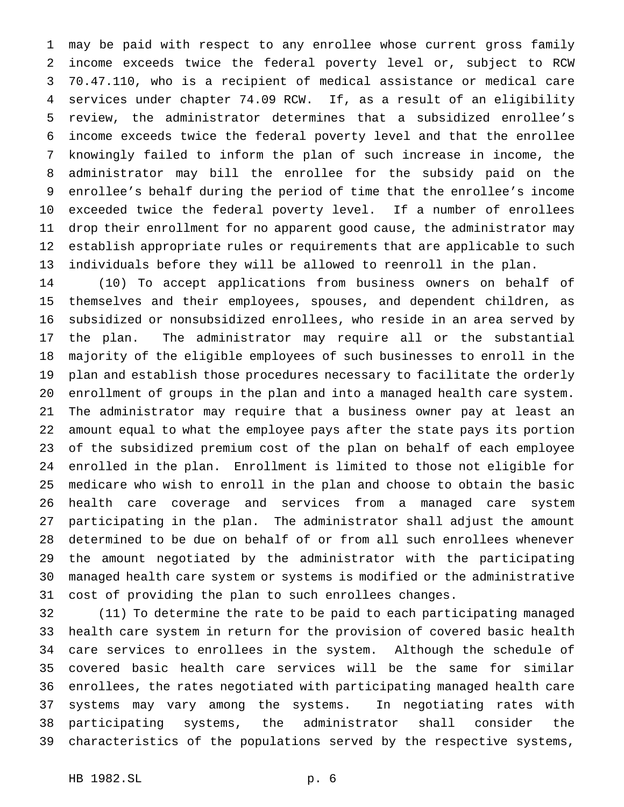may be paid with respect to any enrollee whose current gross family income exceeds twice the federal poverty level or, subject to RCW 70.47.110, who is a recipient of medical assistance or medical care services under chapter 74.09 RCW. If, as a result of an eligibility review, the administrator determines that a subsidized enrollee's income exceeds twice the federal poverty level and that the enrollee knowingly failed to inform the plan of such increase in income, the administrator may bill the enrollee for the subsidy paid on the enrollee's behalf during the period of time that the enrollee's income exceeded twice the federal poverty level. If a number of enrollees drop their enrollment for no apparent good cause, the administrator may establish appropriate rules or requirements that are applicable to such individuals before they will be allowed to reenroll in the plan.

 (10) To accept applications from business owners on behalf of themselves and their employees, spouses, and dependent children, as subsidized or nonsubsidized enrollees, who reside in an area served by the plan. The administrator may require all or the substantial majority of the eligible employees of such businesses to enroll in the plan and establish those procedures necessary to facilitate the orderly enrollment of groups in the plan and into a managed health care system. The administrator may require that a business owner pay at least an amount equal to what the employee pays after the state pays its portion of the subsidized premium cost of the plan on behalf of each employee enrolled in the plan. Enrollment is limited to those not eligible for medicare who wish to enroll in the plan and choose to obtain the basic health care coverage and services from a managed care system participating in the plan. The administrator shall adjust the amount determined to be due on behalf of or from all such enrollees whenever the amount negotiated by the administrator with the participating managed health care system or systems is modified or the administrative cost of providing the plan to such enrollees changes.

 (11) To determine the rate to be paid to each participating managed health care system in return for the provision of covered basic health care services to enrollees in the system. Although the schedule of covered basic health care services will be the same for similar enrollees, the rates negotiated with participating managed health care systems may vary among the systems. In negotiating rates with participating systems, the administrator shall consider the characteristics of the populations served by the respective systems,